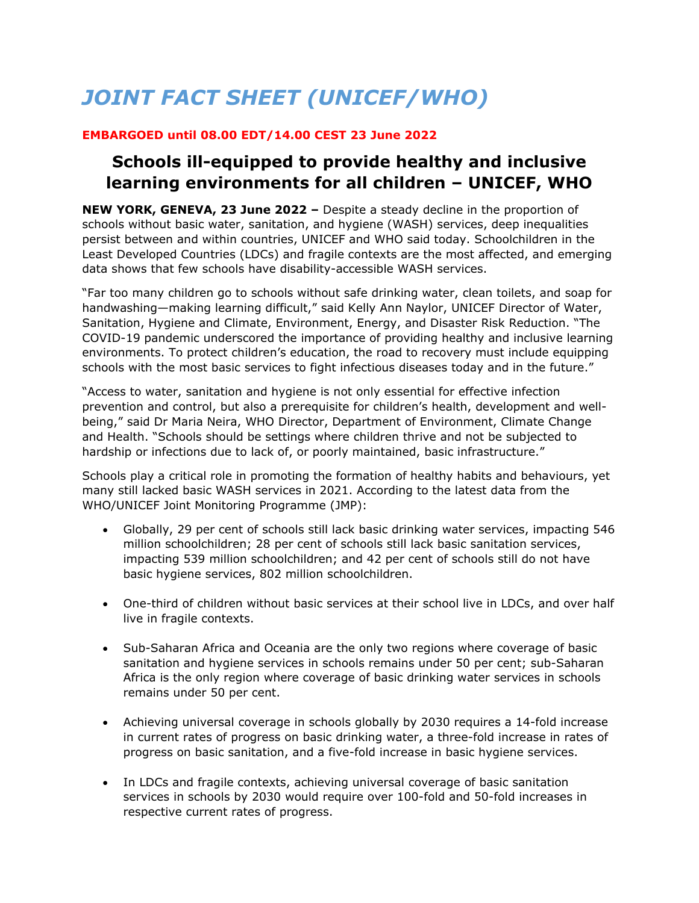# *JOINT FACT SHEET (UNICEF/WHO)*

# **EMBARGOED until 08.00 EDT/14.00 CEST 23 June 2022**

# **Schools ill-equipped to provide healthy and inclusive learning environments for all children – UNICEF, WHO**

**NEW YORK, GENEVA, 23 June 2022 –** Despite a steady decline in the proportion of schools without basic water, sanitation, and hygiene (WASH) services, deep inequalities persist between and within countries, UNICEF and WHO said today. Schoolchildren in the Least Developed Countries (LDCs) and fragile contexts are the most affected, and emerging data shows that few schools have disability-accessible WASH services.

"Far too many children go to schools without safe drinking water, clean toilets, and soap for handwashing—making learning difficult," said Kelly Ann Naylor, UNICEF Director of Water, Sanitation, Hygiene and Climate, Environment, Energy, and Disaster Risk Reduction. "The COVID-19 pandemic underscored the importance of providing healthy and inclusive learning environments. To protect children's education, the road to recovery must include equipping schools with the most basic services to fight infectious diseases today and in the future."

"Access to water, sanitation and hygiene is not only essential for effective infection prevention and control, but also a prerequisite for children's health, development and wellbeing," said Dr Maria Neira, WHO Director, Department of Environment, Climate Change and Health. "Schools should be settings where children thrive and not be subjected to hardship or infections due to lack of, or poorly maintained, basic infrastructure."

Schools play a critical role in promoting the formation of healthy habits and behaviours, yet many still lacked basic WASH services in 2021. According to the latest data from the WHO/UNICEF Joint Monitoring Programme (JMP):

- Globally, 29 per cent of schools still lack basic drinking water services, impacting 546 million schoolchildren; 28 per cent of schools still lack basic sanitation services, impacting 539 million schoolchildren; and 42 per cent of schools still do not have basic hygiene services, 802 million schoolchildren.
- One-third of children without basic services at their school live in LDCs, and over half live in fragile contexts.
- Sub-Saharan Africa and Oceania are the only two regions where coverage of basic sanitation and hygiene services in schools remains under 50 per cent; sub-Saharan Africa is the only region where coverage of basic drinking water services in schools remains under 50 per cent.
- Achieving universal coverage in schools globally by 2030 requires a 14-fold increase in current rates of progress on basic drinking water, a three-fold increase in rates of progress on basic sanitation, and a five-fold increase in basic hygiene services.
- In LDCs and fragile contexts, achieving universal coverage of basic sanitation services in schools by 2030 would require over 100-fold and 50-fold increases in respective current rates of progress.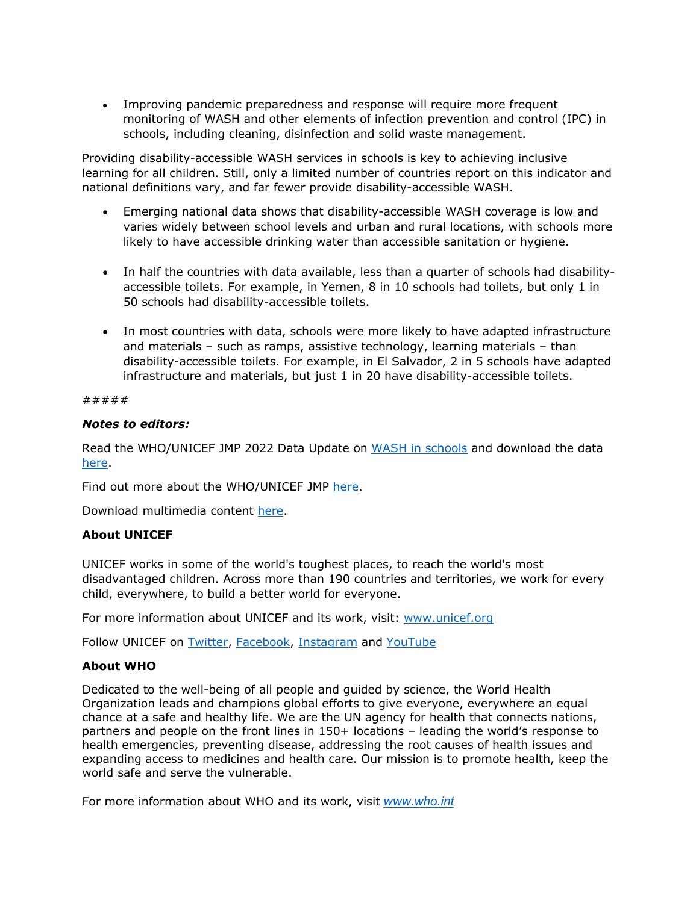Improving pandemic preparedness and response will require more frequent monitoring of WASH and other elements of infection prevention and control (IPC) in schools, including cleaning, disinfection and solid waste management.

Providing disability-accessible WASH services in schools is key to achieving inclusive learning for all children. Still, only a limited number of countries report on this indicator and national definitions vary, and far fewer provide disability-accessible WASH.

- Emerging national data shows that disability-accessible WASH coverage is low and varies widely between school levels and urban and rural locations, with schools more likely to have accessible drinking water than accessible sanitation or hygiene.
- In half the countries with data available, less than a quarter of schools had disabilityaccessible toilets. For example, in Yemen, 8 in 10 schools had toilets, but only 1 in 50 schools had disability-accessible toilets.
- In most countries with data, schools were more likely to have adapted infrastructure and materials – such as ramps, assistive technology, learning materials – than disability-accessible toilets. For example, in El Salvador, 2 in 5 schools have adapted infrastructure and materials, but just 1 in 20 have disability-accessible toilets.

#### #####

#### *Notes to editors:*

Read the WHO/UNICEF JMP 2022 Data Update on WASH in schools and download the data here.

Find out more about the WHO/UNICEF JMP here.

Download multimedia content here.

#### **About UNICEF**

UNICEF works in some of the world's toughest places, to reach the world's most disadvantaged children. Across more than 190 countries and territories, we work for every child, everywhere, to build a better world for everyone.

For more information about UNICEF and its work, visit: www.unicef.org

Follow UNICEF on Twitter, Facebook, Instagram and YouTube

#### **About WHO**

Dedicated to the well-being of all people and guided by science, the World Health Organization leads and champions global efforts to give everyone, everywhere an equal chance at a safe and healthy life. We are the UN agency for health that connects nations, partners and people on the front lines in 150+ locations – leading the world's response to health emergencies, preventing disease, addressing the root causes of health issues and expanding access to medicines and health care. Our mission is to promote health, keep the world safe and serve the vulnerable.

For more information about WHO and its work, visit *www.who.int*